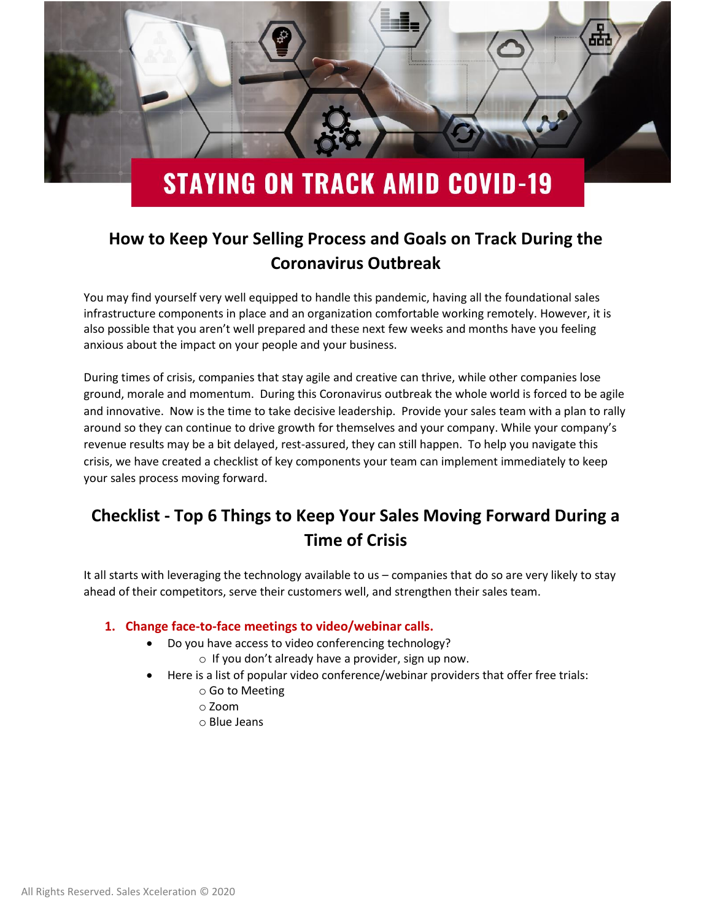

# **How to Keep Your Selling Process and Goals on Track During the Coronavirus Outbreak**

You may find yourself very well equipped to handle this pandemic, having all the foundational sales infrastructure components in place and an organization comfortable working remotely. However, it is also possible that you aren't well prepared and these next few weeks and months have you feeling anxious about the impact on your people and your business.

During times of crisis, companies that stay agile and creative can thrive, while other companies lose ground, morale and momentum. During this Coronavirus outbreak the whole world is forced to be agile and innovative. Now is the time to take decisive leadership. Provide your sales team with a plan to rally around so they can continue to drive growth for themselves and your company. While your company's revenue results may be a bit delayed, rest-assured, they can still happen. To help you navigate this crisis, we have created a checklist of key components your team can implement immediately to keep your sales process moving forward.

## **Checklist - Top 6 Things to Keep Your Sales Moving Forward During a Time of Crisis**

It all starts with leveraging the technology available to us – companies that do so are very likely to stay ahead of their competitors, serve their customers well, and strengthen their sales team.

### **1. Change face-to-face meetings to video/webinar calls.**

- Do you have access to video conferencing technology?
	- o If you don't already have a provider, sign up now.
- Here is a list of popular video conference/webinar providers that offer free trials:
	- o Go to Meeting
	- o Zoom
	- o Blue Jeans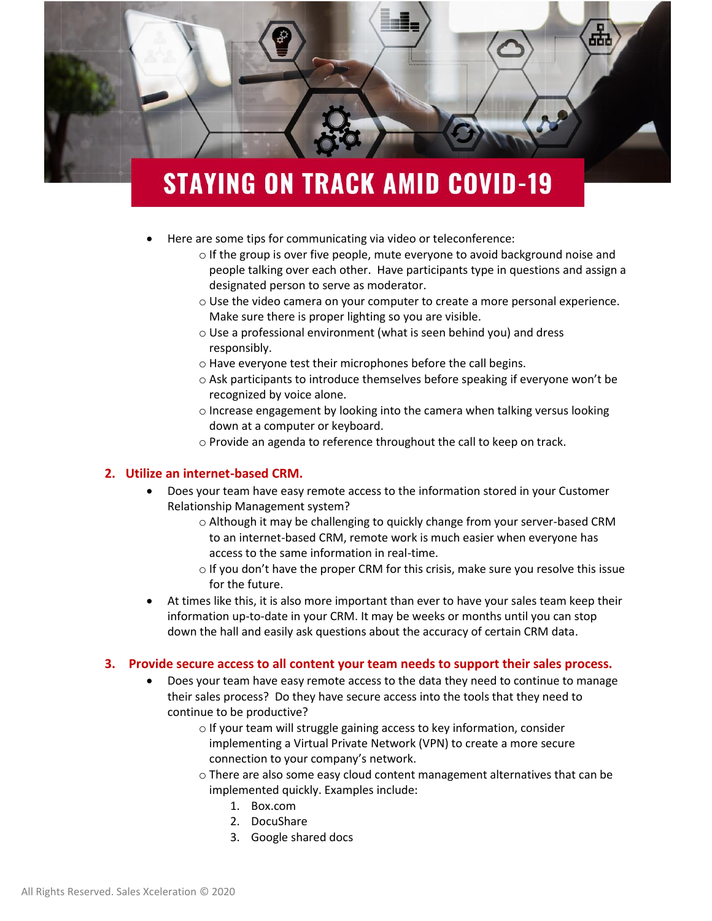

- Here are some tips for communicating via video or teleconference:
	- o If the group is over five people, mute everyone to avoid background noise and people talking over each other. Have participants type in questions and assign a designated person to serve as moderator.
	- o Use the video camera on your computer to create a more personal experience. Make sure there is proper lighting so you are visible.
	- o Use a professional environment (what is seen behind you) and dress responsibly.
	- o Have everyone test their microphones before the call begins.
	- o Ask participants to introduce themselves before speaking if everyone won't be recognized by voice alone.
	- $\circ$  Increase engagement by looking into the camera when talking versus looking down at a computer or keyboard.
	- o Provide an agenda to reference throughout the call to keep on track.

#### **2. Utilize an internet-based CRM.**

- Does your team have easy remote access to the information stored in your Customer Relationship Management system?
	- o Although it may be challenging to quickly change from your server-based CRM to an internet-based CRM, remote work is much easier when everyone has access to the same information in real-time.
	- o If you don't have the proper CRM for this crisis, make sure you resolve this issue for the future.
- At times like this, it is also more important than ever to have your sales team keep their information up-to-date in your CRM. It may be weeks or months until you can stop down the hall and easily ask questions about the accuracy of certain CRM data.

#### **3. Provide secure access to all content your team needs to support their sales process.**

- Does your team have easy remote access to the data they need to continue to manage their sales process? Do they have secure access into the tools that they need to continue to be productive?
	- o If your team will struggle gaining access to key information, consider implementing a Virtual Private Network (VPN) to create a more secure connection to your company's network.
	- $\circ$  There are also some easy cloud content management alternatives that can be implemented quickly. Examples include:
		- 1. Box.com
		- 2. DocuShare
		- 3. Google shared docs